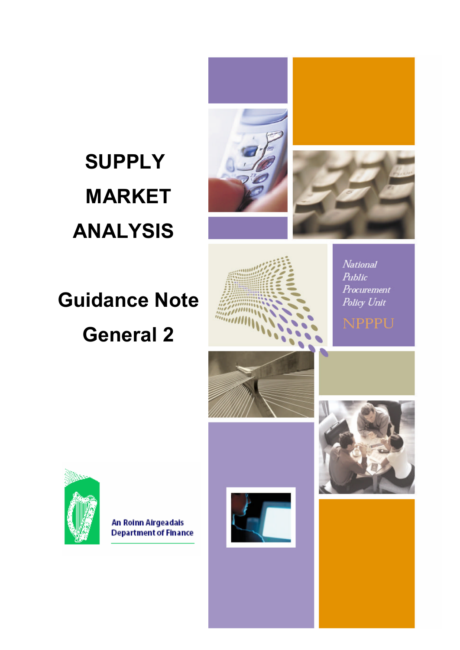# **SUPPLY MARKET ANALYSIS**





# **Guidance Note General 2**



National Public Procurement Policy Unit



An Roinn Airgeadais **Department of Finance** 



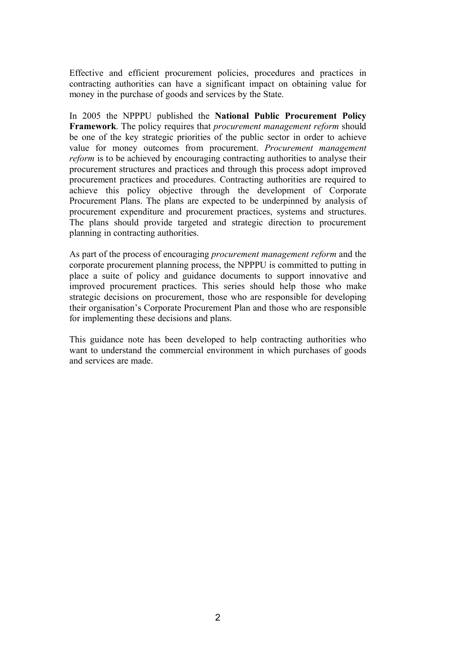Effective and efficient procurement policies, procedures and practices in contracting authorities can have a significant impact on obtaining value for money in the purchase of goods and services by the State.

In 2005 the NPPPU published the **National Public Procurement Policy Framework**. The policy requires that *procurement management reform* should be one of the key strategic priorities of the public sector in order to achieve value for money outcomes from procurement. *Procurement management reform* is to be achieved by encouraging contracting authorities to analyse their procurement structures and practices and through this process adopt improved procurement practices and procedures. Contracting authorities are required to achieve this policy objective through the development of Corporate Procurement Plans. The plans are expected to be underpinned by analysis of procurement expenditure and procurement practices, systems and structures. The plans should provide targeted and strategic direction to procurement planning in contracting authorities.

As part of the process of encouraging *procurement management reform* and the corporate procurement planning process, the NPPPU is committed to putting in place a suite of policy and guidance documents to support innovative and improved procurement practices. This series should help those who make strategic decisions on procurement, those who are responsible for developing their organisation's Corporate Procurement Plan and those who are responsible for implementing these decisions and plans.

This guidance note has been developed to help contracting authorities who want to understand the commercial environment in which purchases of goods and services are made.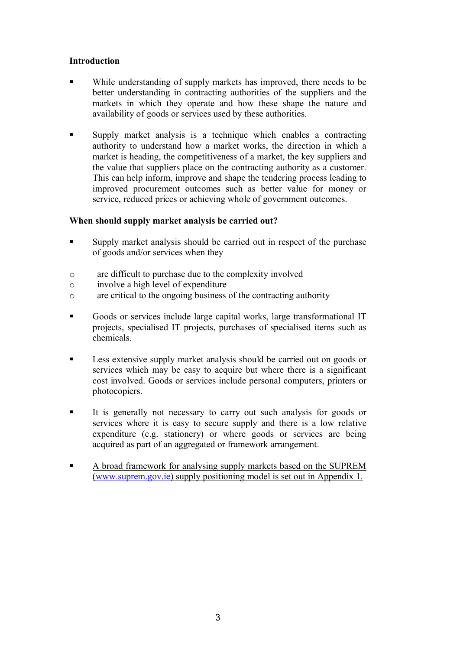#### **Introduction**

- While understanding of supply markets has improved, there needs to be better understanding in contracting authorities of the suppliers and the markets in which they operate and how these shape the nature and availability of goods or services used by these authorities.
- § Supply market analysis is a technique which enables a contracting authority to understand how a market works, the direction in which a market is heading, the competitiveness of a market, the key suppliers and the value that suppliers place on the contracting authority as a customer. This can help inform, improve and shape the tendering process leading to improved procurement outcomes such as better value for money or service, reduced prices or achieving whole of government outcomes.

#### **When should supply market analysis be carried out?**

- Supply market analysis should be carried out in respect of the purchase of goods and/or services when they
- o are difficult to purchase due to the complexity involved
- o involve a high level of expenditure
- o are critical to the ongoing business of the contracting authority
- § Goods or services include large capital works, large transformational IT projects, specialised IT projects, purchases of specialised items such as chemicals.
- Less extensive supply market analysis should be carried out on goods or services which may be easy to acquire but where there is a significant cost involved. Goods or services include personal computers, printers or photocopiers.
- § It is generally not necessary to carry out such analysis for goods or services where it is easy to secure supply and there is a low relative expenditure (e.g. stationery) or where goods or services are being acquired as part of an aggregated or framework arrangement.
- **EXECUTE:** A broad framework for analysing supply markets based on the SUPREM ([www.suprem.gov.ie\)](GGG81.+,#/83-) supply positioning model is set out in Appendix 1.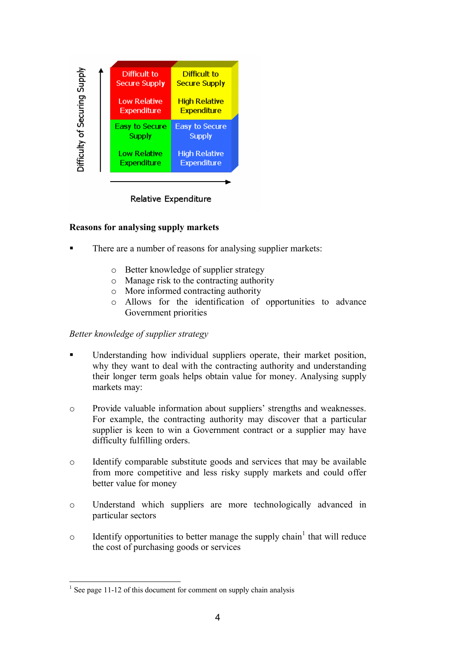

Relative Expenditure

#### **Reasons for analysing supply markets**

- There are a number of reasons for analysing supplier markets:
	- o Better knowledge of supplier strategy
	- o Manage risk to the contracting authority
	- o More informed contracting authority
	- o Allows for the identification of opportunities to advance Government priorities

#### *Better knowledge of supplier strategy*

- Understanding how individual suppliers operate, their market position, why they want to deal with the contracting authority and understanding their longer term goals helps obtain value for money. Analysing supply markets may:
- o Provide valuable information about suppliers' strengths and weaknesses. For example, the contracting authority may discover that a particular supplier is keen to win a Government contract or a supplier may have difficulty fulfilling orders.
- o Identify comparable substitute goods and services that may be available from more competitive and less risky supply markets and could offer better value for money
- o Understand which suppliers are more technologically advanced in particular sectors
- o Identify opportunities to better manage the supply chain<sup>1</sup> that will reduce the cost of purchasing goods or services

 $1$  See page 11-12 of this document for comment on supply chain analysis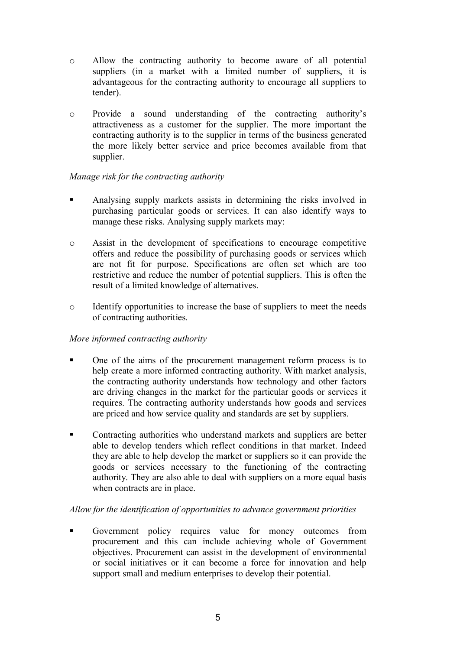- o Allow the contracting authority to become aware of all potential suppliers (in a market with a limited number of suppliers, it is advantageous for the contracting authority to encourage all suppliers to tender).
- o Provide a sound understanding of the contracting authority's attractiveness as a customer for the supplier. The more important the contracting authority is to the supplier in terms of the business generated the more likely better service and price becomes available from that supplier.

#### *Manage risk for the contracting authority*

- Analysing supply markets assists in determining the risks involved in purchasing particular goods or services. It can also identify ways to manage these risks. Analysing supply markets may:
- o Assist in the development of specifications to encourage competitive offers and reduce the possibility of purchasing goods or services which are not fit for purpose. Specifications are often set which are too restrictive and reduce the number of potential suppliers. This is often the result of a limited knowledge of alternatives.
- o Identify opportunities to increase the base of suppliers to meet the needs of contracting authorities.

#### *More informed contracting authority*

- § One of the aims of the procurement management reform process is to help create a more informed contracting authority. With market analysis, the contracting authority understands how technology and other factors are driving changes in the market for the particular goods or services it requires. The contracting authority understands how goods and services are priced and how service quality and standards are set by suppliers.
- Contracting authorities who understand markets and suppliers are better able to develop tenders which reflect conditions in that market. Indeed they are able to help develop the market or suppliers so it can provide the goods or services necessary to the functioning of the contracting authority. They are also able to deal with suppliers on a more equal basis when contracts are in place.

#### *Allow for the identification of opportunities to advance government priorities*

§ Government policy requires value for money outcomes from procurement and this can include achieving whole of Government objectives. Procurement can assist in the development of environmental or social initiatives or it can become a force for innovation and help support small and medium enterprises to develop their potential.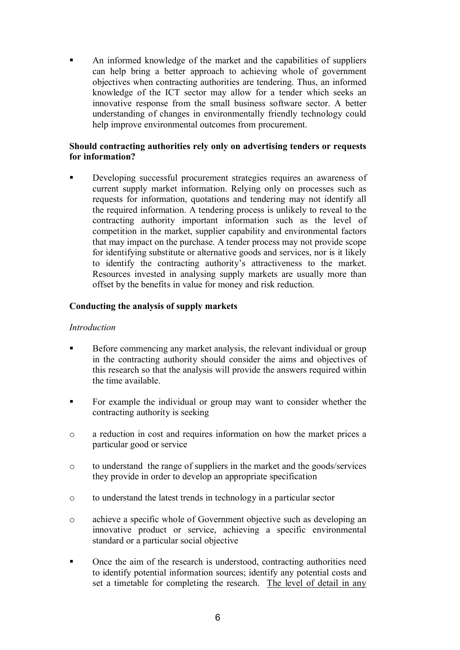An informed knowledge of the market and the capabilities of suppliers can help bring a better approach to achieving whole of government objectives when contracting authorities are tendering. Thus, an informed knowledge of the ICT sector may allow for a tender which seeks an innovative response from the small business software sector. A better understanding of changes in environmentally friendly technology could help improve environmental outcomes from procurement.

#### **Should contracting authorities rely only on advertising tenders or requests for information?**

Developing successful procurement strategies requires an awareness of current supply market information. Relying only on processes such as requests for information, quotations and tendering may not identify all the required information. A tendering process is unlikely to reveal to the contracting authority important information such as the level of competition in the market, supplier capability and environmental factors that may impact on the purchase. A tender process may not provide scope for identifying substitute or alternative goods and services, nor is it likely to identify the contracting authority's attractiveness to the market. Resources invested in analysing supply markets are usually more than offset by the benefits in value for money and risk reduction.

#### **Conducting the analysis of supply markets**

#### *Introduction*

- Before commencing any market analysis, the relevant individual or group in the contracting authority should consider the aims and objectives of this research so that the analysis will provide the answers required within the time available.
- For example the individual or group may want to consider whether the contracting authority is seeking
- o a reduction in cost and requires information on how the market prices a particular good or service
- o to understand the range of suppliers in the market and the goods/services they provide in order to develop an appropriate specification
- o to understand the latest trends in technology in a particular sector
- o achieve a specific whole of Government objective such as developing an innovative product or service, achieving a specific environmental standard or a particular social objective
- § Once the aim of the research is understood, contracting authorities need to identify potential information sources; identify any potential costs and set a timetable for completing the research. The level of detail in any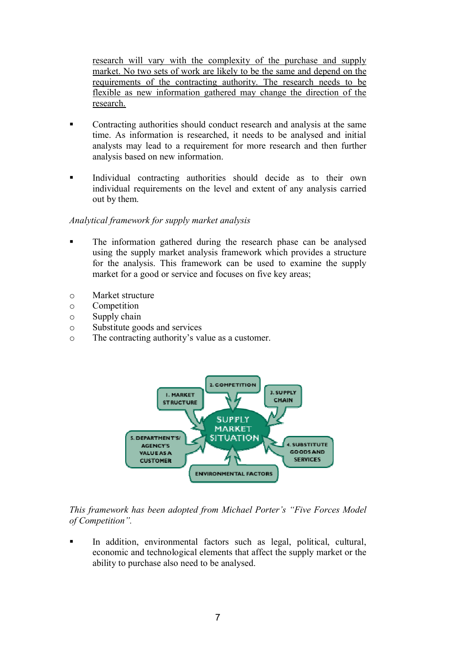research will vary with the complexity of the purchase and supply market. No two sets of work are likely to be the same and depend on the requirements of the contracting authority. The research needs to be flexible as new information gathered may change the direction of the research.

- Contracting authorities should conduct research and analysis at the same time. As information is researched, it needs to be analysed and initial analysts may lead to a requirement for more research and then further analysis based on new information.
- Individual contracting authorities should decide as to their own individual requirements on the level and extent of any analysis carried out by them.

#### *Analytical framework for supply market analysis*

- The information gathered during the research phase can be analysed using the supply market analysis framework which provides a structure for the analysis. This framework can be used to examine the supply market for a good or service and focuses on five key areas;
- o Market structure
- o Competition
- o Supply chain
- o Substitute goods and services
- o The contracting authority's value as a customer.



#### *This framework has been adopted from Michael Porter's "Five Forces Model of Competition".*

In addition, environmental factors such as legal, political, cultural, economic and technological elements that affect the supply market or the ability to purchase also need to be analysed.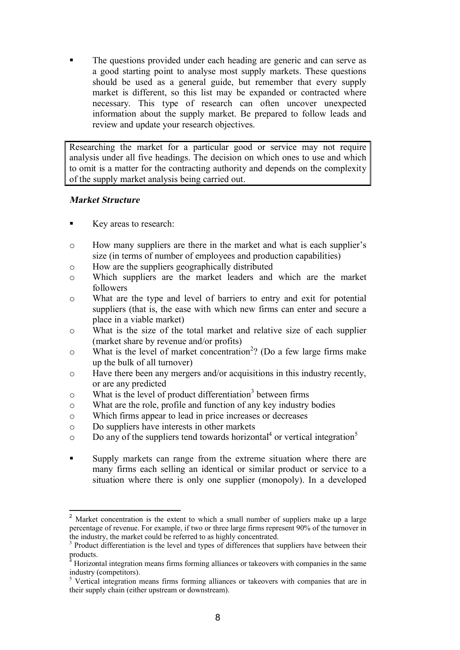The questions provided under each heading are generic and can serve as a good starting point to analyse most supply markets. These questions should be used as a general guide, but remember that every supply market is different, so this list may be expanded or contracted where necessary. This type of research can often uncover unexpected information about the supply market. Be prepared to follow leads and review and update your research objectives.

Researching the market for a particular good or service may not require analysis under all five headings. The decision on which ones to use and which to omit is a matter for the contracting authority and depends on the complexity of the supply market analysis being carried out.

#### **Market Structure**

- Key areas to research:
- o How many suppliers are there in the market and what is each supplier's size (in terms of number of employees and production capabilities)
- o How are the suppliers geographically distributed
- o Which suppliers are the market leaders and which are the market followers
- o What are the type and level of barriers to entry and exit for potential suppliers (that is, the ease with which new firms can enter and secure a place in a viable market)
- o What is the size of the total market and relative size of each supplier (market share by revenue and/or profits)
- $\circ$  What is the level of market concentration<sup>2</sup>? (Do a few large firms make up the bulk of all turnover)
- o Have there been any mergers and/or acquisitions in this industry recently, or are any predicted
- o What is the level of product differentiation<sup>3</sup> between firms
- o What are the role, profile and function of any key industry bodies
- o Which firms appear to lead in price increases or decreases
- o Do suppliers have interests in other markets
- $\circ$  Do any of the suppliers tend towards horizontal<sup>4</sup> or vertical integration<sup>5</sup>
- § Supply markets can range from the extreme situation where there are many firms each selling an identical or similar product or service to a situation where there is only one supplier (monopoly). In a developed

Market concentration is the extent to which a small number of suppliers make up a large percentage of revenue. For example, if two or three large firms represent 90% of the turnover in the industry, the market could be referred to as highly concentrated.

<sup>&</sup>lt;sup>3</sup> Product differentiation is the level and types of differences that suppliers have between their  $\text{products.}$ 

<sup>4</sup> Horizontal integration means firms forming alliances or takeovers with companies in the same industry (competitors).

<sup>&</sup>lt;sup>5</sup> Vertical integration means firms forming alliances or takeovers with companies that are in their supply chain (either upstream or downstream).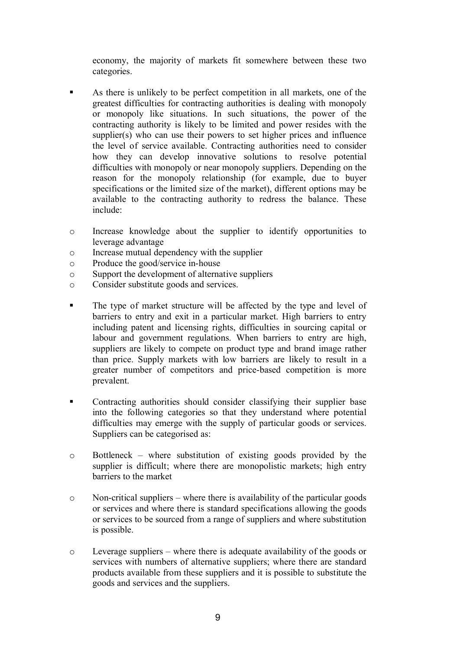economy, the majority of markets fit somewhere between these two categories.

- § As there is unlikely to be perfect competition in all markets, one of the greatest difficulties for contracting authorities is dealing with monopoly or monopoly like situations. In such situations, the power of the contracting authority is likely to be limited and power resides with the supplier(s) who can use their powers to set higher prices and influence the level of service available. Contracting authorities need to consider how they can develop innovative solutions to resolve potential difficulties with monopoly or near monopoly suppliers. Depending on the reason for the monopoly relationship (for example, due to buyer specifications or the limited size of the market), different options may be available to the contracting authority to redress the balance. These include:
- o Increase knowledge about the supplier to identify opportunities to leverage advantage
- o Increase mutual dependency with the supplier
- o Produce the good/service in-house
- o Support the development of alternative suppliers
- o Consider substitute goods and services.
- The type of market structure will be affected by the type and level of barriers to entry and exit in a particular market. High barriers to entry including patent and licensing rights, difficulties in sourcing capital or labour and government regulations. When barriers to entry are high, suppliers are likely to compete on product type and brand image rather than price. Supply markets with low barriers are likely to result in a greater number of competitors and price-based competition is more prevalent.
- Contracting authorities should consider classifying their supplier base into the following categories so that they understand where potential difficulties may emerge with the supply of particular goods or services. Suppliers can be categorised as:
- o Bottleneck where substitution of existing goods provided by the supplier is difficult; where there are monopolistic markets; high entry barriers to the market
- $\circ$  Non-critical suppliers where there is availability of the particular goods or services and where there is standard specifications allowing the goods or services to be sourced from a range of suppliers and where substitution is possible.
- o Leverage suppliers where there is adequate availability of the goods or services with numbers of alternative suppliers; where there are standard products available from these suppliers and it is possible to substitute the goods and services and the suppliers.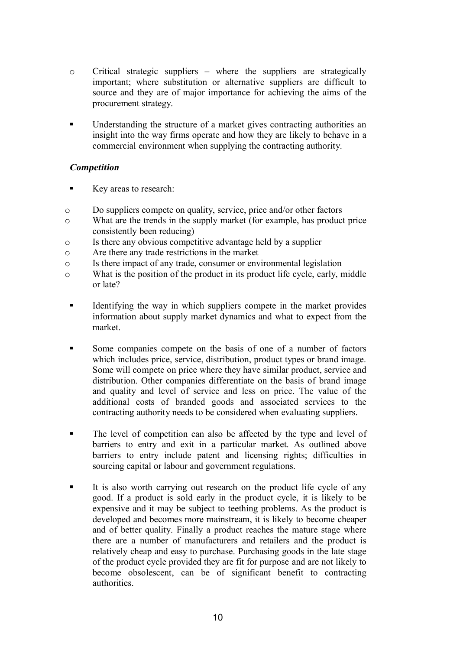- $\circ$  Critical strategic suppliers where the suppliers are strategically important; where substitution or alternative suppliers are difficult to source and they are of major importance for achieving the aims of the procurement strategy.
- Understanding the structure of a market gives contracting authorities an insight into the way firms operate and how they are likely to behave in a commercial environment when supplying the contracting authority.

#### **Competition**

- Key areas to research:
- o Do suppliers compete on quality, service, price and/or other factors
- o What are the trends in the supply market (for example, has product price consistently been reducing)
- o Is there any obvious competitive advantage held by a supplier
- o Are there any trade restrictions in the market
- o Is there impact of any trade, consumer or environmental legislation
- o What is the position of the product in its product life cycle, early, middle or late?
- **•** Identifying the way in which suppliers compete in the market provides information about supply market dynamics and what to expect from the market.
- Some companies compete on the basis of one of a number of factors which includes price, service, distribution, product types or brand image. Some will compete on price where they have similar product, service and distribution. Other companies differentiate on the basis of brand image and quality and level of service and less on price. The value of the additional costs of branded goods and associated services to the contracting authority needs to be considered when evaluating suppliers.
- The level of competition can also be affected by the type and level of barriers to entry and exit in a particular market. As outlined above barriers to entry include patent and licensing rights; difficulties in sourcing capital or labour and government regulations.
- It is also worth carrying out research on the product life cycle of any good. If a product is sold early in the product cycle, it is likely to be expensive and it may be subject to teething problems. As the product is developed and becomes more mainstream, it is likely to become cheaper and of better quality. Finally a product reaches the mature stage where there are a number of manufacturers and retailers and the product is relatively cheap and easy to purchase. Purchasing goods in the late stage of the product cycle provided they are fit for purpose and are not likely to become obsolescent, can be of significant benefit to contracting authorities.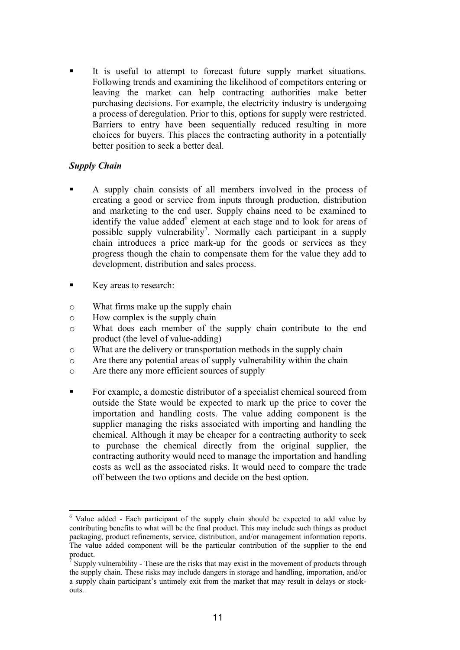It is useful to attempt to forecast future supply market situations. Following trends and examining the likelihood of competitors entering or leaving the market can help contracting authorities make better purchasing decisions. For example, the electricity industry is undergoing a process of deregulation. Prior to this, options for supply were restricted. Barriers to entry have been sequentially reduced resulting in more choices for buyers. This places the contracting authority in a potentially better position to seek a better deal.

#### *Supply Chain*

- § A supply chain consists of all members involved in the process of creating a good or service from inputs through production, distribution and marketing to the end user. Supply chains need to be examined to identify the value added<sup>6</sup> element at each stage and to look for areas of possible supply vulnerability<sup>7</sup>. Normally each participant in a supply chain introduces a price mark-up for the goods or services as they progress though the chain to compensate them for the value they add to development, distribution and sales process.
- Key areas to research:
- o What firms make up the supply chain
- o How complex is the supply chain
- o What does each member of the supply chain contribute to the end product (the level of value-adding)
- o What are the delivery or transportation methods in the supply chain
- o Are there any potential areas of supply vulnerability within the chain
- o Are there any more efficient sources of supply
- § For example, a domestic distributor of a specialist chemical sourced from outside the State would be expected to mark up the price to cover the importation and handling costs. The value adding component is the supplier managing the risks associated with importing and handling the chemical. Although it may be cheaper for a contracting authority to seek to purchase the chemical directly from the original supplier, the contracting authority would need to manage the importation and handling costs as well as the associated risks. It would need to compare the trade off between the two options and decide on the best option.

<sup>6</sup> Value added - Each participant of the supply chain should be expected to add value by contributing benefits to what will be the final product. This may include such things as product packaging, product refinements, service, distribution, and/or management information reports. The value added component will be the particular contribution of the supplier to the end product.<br><sup>7</sup> Supply

Supply vulnerability - These are the risks that may exist in the movement of products through the supply chain. These risks may include dangers in storage and handling, importation, and/or a supply chain participant's untimely exit from the market that may result in delays or stockouts.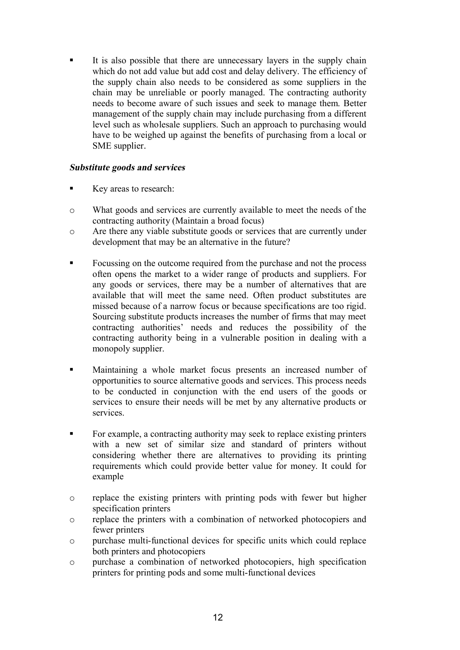It is also possible that there are unnecessary layers in the supply chain which do not add value but add cost and delay delivery. The efficiency of the supply chain also needs to be considered as some suppliers in the chain may be unreliable or poorly managed. The contracting authority needs to become aware of such issues and seek to manage them. Better management of the supply chain may include purchasing from a different level such as wholesale suppliers. Such an approach to purchasing would have to be weighed up against the benefits of purchasing from a local or SME supplier.

#### **Substitute goods and services**

- Key areas to research:
- o What goods and services are currently available to meet the needs of the contracting authority (Maintain a broad focus)
- o Are there any viable substitute goods or services that are currently under development that may be an alternative in the future?
- Focussing on the outcome required from the purchase and not the process often opens the market to a wider range of products and suppliers. For any goods or services, there may be a number of alternatives that are available that will meet the same need. Often product substitutes are missed because of a narrow focus or because specifications are too rigid. Sourcing substitute products increases the number of firms that may meet contracting authorities' needs and reduces the possibility of the contracting authority being in a vulnerable position in dealing with a monopoly supplier.
- § Maintaining a whole market focus presents an increased number of opportunities to source alternative goods and services. This process needs to be conducted in conjunction with the end users of the goods or services to ensure their needs will be met by any alternative products or services.
- For example, a contracting authority may seek to replace existing printers with a new set of similar size and standard of printers without considering whether there are alternatives to providing its printing requirements which could provide better value for money. It could for example
- o replace the existing printers with printing pods with fewer but higher specification printers
- o replace the printers with a combination of networked photocopiers and fewer printers
- o purchase multi-functional devices for specific units which could replace both printers and photocopiers
- o purchase a combination of networked photocopiers, high specification printers for printing pods and some multi-functional devices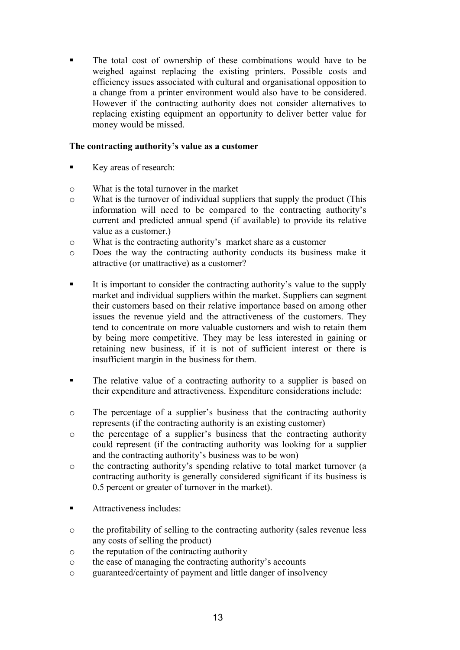The total cost of ownership of these combinations would have to be weighed against replacing the existing printers. Possible costs and efficiency issues associated with cultural and organisational opposition to a change from a printer environment would also have to be considered. However if the contracting authority does not consider alternatives to replacing existing equipment an opportunity to deliver better value for money would be missed.

#### **The contracting authority's value as a customer**

- § Key areas of research:
- o What is the total turnover in the market
- o What is the turnover of individual suppliers that supply the product (This information will need to be compared to the contracting authority's current and predicted annual spend (if available) to provide its relative value as a customer.)
- o What is the contracting authority's market share as a customer
- o Does the way the contracting authority conducts its business make it attractive (or unattractive) as a customer?
- It is important to consider the contracting authority's value to the supply market and individual suppliers within the market. Suppliers can segment their customers based on their relative importance based on among other issues the revenue yield and the attractiveness of the customers. They tend to concentrate on more valuable customers and wish to retain them by being more competitive. They may be less interested in gaining or retaining new business, if it is not of sufficient interest or there is insufficient margin in the business for them.
- The relative value of a contracting authority to a supplier is based on their expenditure and attractiveness. Expenditure considerations include:
- o The percentage of a supplier's business that the contracting authority represents (if the contracting authority is an existing customer)
- o the percentage of a supplier's business that the contracting authority could represent (if the contracting authority was looking for a supplier and the contracting authority's business was to be won)
- o the contracting authority's spending relative to total market turnover (a contracting authority is generally considered significant if its business is 0.5 percent or greater of turnover in the market).
- Attractiveness includes:
- o the profitability of selling to the contracting authority (sales revenue less any costs of selling the product)
- o the reputation of the contracting authority
- o the ease of managing the contracting authority's accounts
- o guaranteed/certainty of payment and little danger of insolvency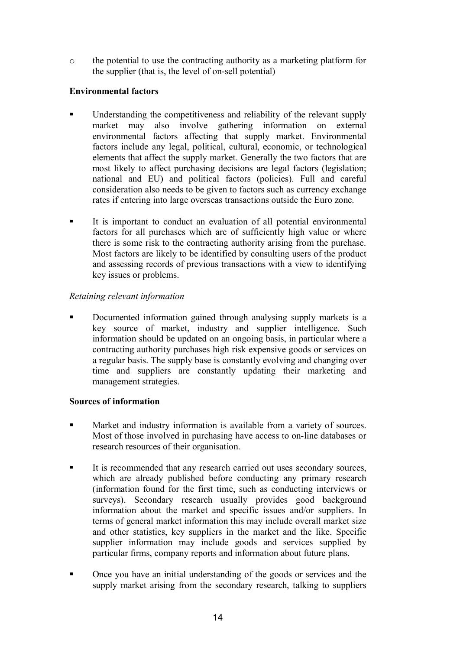o the potential to use the contracting authority as a marketing platform for the supplier (that is, the level of on-sell potential)

#### **Environmental factors**

- § Understanding the competitiveness and reliability of the relevant supply market may also involve gathering information on external environmental factors affecting that supply market. Environmental factors include any legal, political, cultural, economic, or technological elements that affect the supply market. Generally the two factors that are most likely to affect purchasing decisions are legal factors (legislation; national and EU) and political factors (policies). Full and careful consideration also needs to be given to factors such as currency exchange rates if entering into large overseas transactions outside the Euro zone.
- It is important to conduct an evaluation of all potential environmental factors for all purchases which are of sufficiently high value or where there is some risk to the contracting authority arising from the purchase. Most factors are likely to be identified by consulting users of the product and assessing records of previous transactions with a view to identifying key issues or problems.

#### *Retaining relevant information*

**•** Documented information gained through analysing supply markets is a key source of market, industry and supplier intelligence. Such information should be updated on an ongoing basis, in particular where a contracting authority purchases high risk expensive goods or services on a regular basis. The supply base is constantly evolving and changing over time and suppliers are constantly updating their marketing and management strategies.

#### **Sources of information**

- **Market and industry information is available from a variety of sources.** Most of those involved in purchasing have access to on-line databases or research resources of their organisation.
- § It is recommended that any research carried out uses secondary sources, which are already published before conducting any primary research (information found for the first time, such as conducting interviews or surveys). Secondary research usually provides good background information about the market and specific issues and/or suppliers. In terms of general market information this may include overall market size and other statistics, key suppliers in the market and the like. Specific supplier information may include goods and services supplied by particular firms, company reports and information about future plans.
- Once you have an initial understanding of the goods or services and the supply market arising from the secondary research, talking to suppliers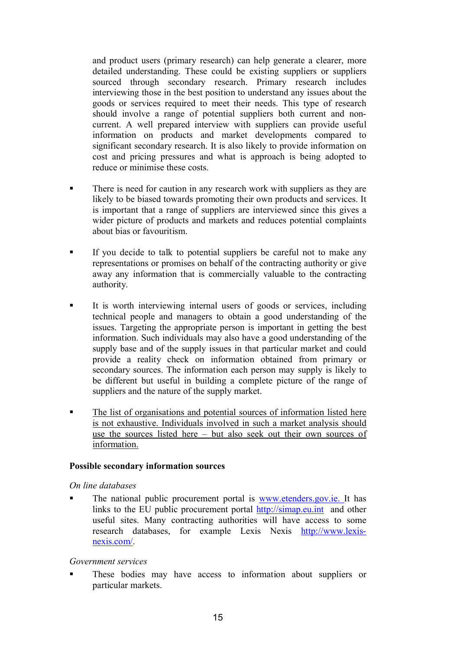and product users (primary research) can help generate a clearer, more detailed understanding. These could be existing suppliers or suppliers sourced through secondary research. Primary research includes interviewing those in the best position to understand any issues about the goods or services required to meet their needs. This type of research should involve a range of potential suppliers both current and noncurrent. A well prepared interview with suppliers can provide useful information on products and market developments compared to significant secondary research. It is also likely to provide information on cost and pricing pressures and what is approach is being adopted to reduce or minimise these costs.

- There is need for caution in any research work with suppliers as they are likely to be biased towards promoting their own products and services. It is important that a range of suppliers are interviewed since this gives a wider picture of products and markets and reduces potential complaints about bias or favouritism.
- If you decide to talk to potential suppliers be careful not to make any representations or promises on behalf of the contracting authority or give away any information that is commercially valuable to the contracting authority.
- § It is worth interviewing internal users of goods or services, including technical people and managers to obtain a good understanding of the issues. Targeting the appropriate person is important in getting the best information. Such individuals may also have a good understanding of the supply base and of the supply issues in that particular market and could provide a reality check on information obtained from primary or secondary sources. The information each person may supply is likely to be different but useful in building a complete picture of the range of suppliers and the nature of the supply market.
- The list of organisations and potential sources of information listed here is not exhaustive. Individuals involved in such a market analysis should use the sources listed here – but also seek out their own sources of information.

#### **Possible secondary information sources**

#### *On line databases*

The national public procurement portal is [www.etenders.gov.ie.](GGG8#%#)*#,183-) It has links to the EU public procurement portal http://simap.eu.int and other useful sites. Many contracting authorities will have access to some research databases, for example Lexis Nexis http:/[/www.lexis](GGG80#E&1U)nexis.com/.

#### *Government services*

**•** These bodies may have access to information about suppliers or particular markets.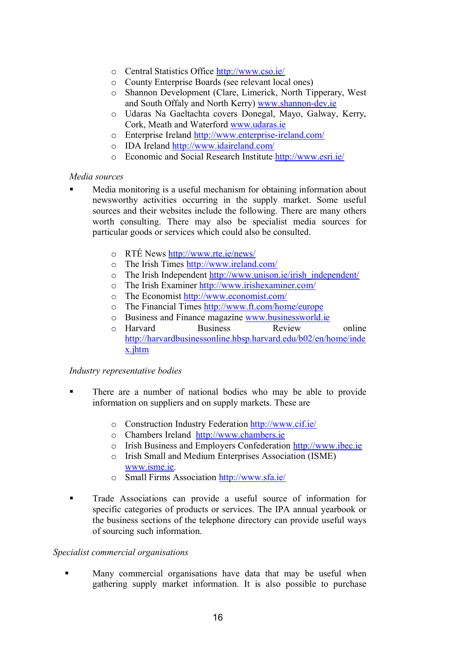- o Central Statistics Office http://[www.cso.ie/](GGG8$1-8&#J)
- o County Enterprise Boards (see relevant local ones)
- o Shannon Development (Clare, Limerick, North Tipperary, West and South Offaly and North Kerry) [www.shannon-dev.ie](GGG814())-)U*#)
- o Udaras Na Gaeltachta covers Donegal, Mayo, Galway, Kerry, Cork, Meath and Waterford [www.udaras.ie](GGG8.*(,(18&#)
- o Enterprise Ireland http://[www.enterprise-ireland.com/](GGG8#)%#,+,&1#U&,#0()*8$-/J)
- o IDA Ireland http://[www.idaireland.com/](GGG8&*(&,#0()*8$-/J)
- o Economic and Social Research Institute [http://w](4%%+RJJGGG8#1,&8&#J)[ww.esri.ie/](GGG8#1,&8&#J)

#### *Media sources*

- § Media monitoring is a useful mechanism for obtaining information about newsworthy activities occurring in the supply market. Some useful sources and their websites include the following. There are many others worth consulting. There may also be specialist media sources for particular goods or services which could also be consulted.
	- o RTÉ News [http://](4%%+RJJGGG8,%#8&#J)#G1J)[www.rte.ie/news/](GGG8,%#8&#J)#G1J)
	- o The Irish Times http:/[/www.ireland.com/](GGG8&,#0()*8$-/J)
	- o The Irish Independent [http://w](4%%+RJJGGG8.)&1-)8&#J&,&14f&)*#+#)*#)%J)[ww.unison.ie/irish\\_independent/](GGG8.)&1-)8&#J&,&14f&)*#+#)*#)%J)
	- o The Irish Examiner http://[www.irishexaminer.com/](GGG8&,&14#E(/&)#,8$-/J)
	- o The Economist [http://](4%%+RJJGGG8#$-)-/&1%8$-/J)[www.economist.com/](GGG8#$-)-/&1%8$-/J)
	- o The Financial Times http://[www.ft.com/home/europe](GGG8"%8$-/J4-/#J#.,-+#)
	- o Business and Finance magazine [www.businessworld.ie](GGG85.1&)#11G-,0*8&#)
	- o Harvard Business Review online http://harvardbusinessonline.hbsp.harvard.edu/b02/en/home/inde x.jhtm

#### *Industry representative bodies*

- § There are a number of national bodies who may be able to provide information on suppliers and on supply markets. These are
	- o Construction Industry Federation http://[www.cif.ie/](GGG8$&"8&#J)
	- o Chambers Ireland http:/[/www.chambers.ie](GGG8$4(/5#,18&#)
	- o Irish Business and Employers Confederation [http://](4%%+RJJGGG8&5#$8&#)[www.ibec.ie](GGG8&5#$8&#)
	- o Irish Small and Medium Enterprises Association (ISME) [www.isme.ie.](GGG8&1/#8&#)
	- o Small Firms Association http:/[/www.sfa.ie/](GGG81"(8&#J)
- Trade Associations can provide a useful source of information for specific categories of products or services. The IPA annual yearbook or the business sections of the telephone directory can provide useful ways of sourcing such information.

#### *Specialist commercial organisations*

• Many commercial organisations have data that may be useful when gathering supply market information. It is also possible to purchase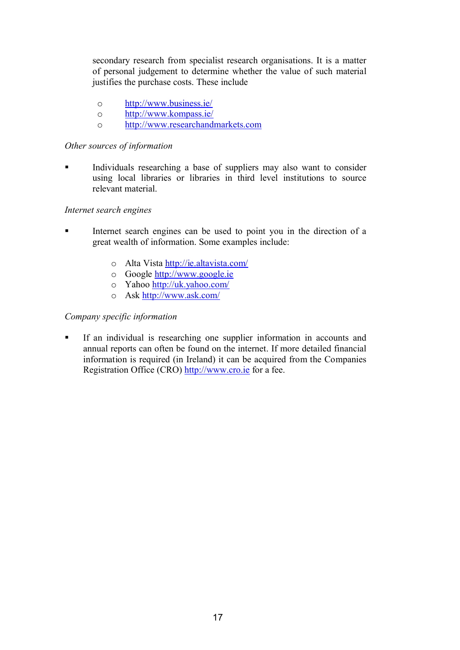secondary research from specialist research organisations. It is a matter of personal judgement to determine whether the value of such material justifies the purchase costs. These include

- o http:/[/www.business.ie/](GGG85.1&)#118&#J)
- o http:/[/www.kompass.ie/](GGG8B-/+(118&#J)
- o http:/[/www.researchandmarkets.com](GGG8,#1#(,$4()*/(,B#%18$-/)

#### *Other sources of information*

Individuals researching a base of suppliers may also want to consider using local libraries or libraries in third level institutions to source relevant material.

#### *Internet search engines*

- Internet search engines can be used to point you in the direction of a great wealth of information. Some examples include:
	- o Alta Vista http://ie.altavista.com/
	- o Google [http://w](4%%+RJJGGG83--30#8&#)[ww.google.ie](GGG83--30#8&#)
	- o Yahoo [http://uk.yahoo.com/](4%%+RJJ.B86(4--8$-/J)
	- o Ask http://[www.ask.com/](GGG8(1B8$-/J)

#### *Company specific information*

§ If an individual is researching one supplier information in accounts and annual reports can often be found on the internet. If more detailed financial information is required (in Ireland) it can be acquired from the Companies Registration Office (CRO) [http://](4%%+RJJGGG8$,-8&#)[www.cro.ie](GGG8$,-8&#) for a fee.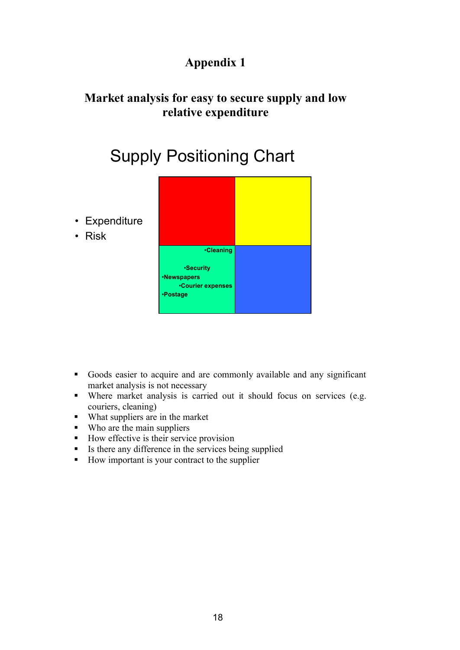## **Appendix 1**

### **Market analysis for easy to secure supply and low relative expenditure**

## Supply Positioning Chart

- Expenditure
- Risk



- § Goods easier to acquire and are commonly available and any significant market analysis is not necessary
- Where market analysis is carried out it should focus on services (e.g. couriers, cleaning)
- What suppliers are in the market
- Who are the main suppliers
- How effective is their service provision
- § Is there any difference in the services being supplied
- How important is your contract to the supplier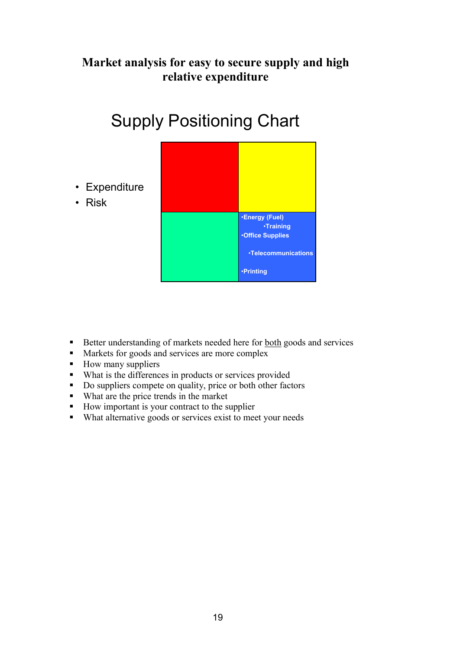### **Market analysis for easy to secure supply and high relative expenditure**



# Supply Positioning Chart

- Better understanding of markets needed here for both goods and services
- Markets for goods and services are more complex
- How many suppliers
- What is the differences in products or services provided
- § Do suppliers compete on quality, price or both other factors
- What are the price trends in the market
- How important is your contract to the supplier
- What alternative goods or services exist to meet your needs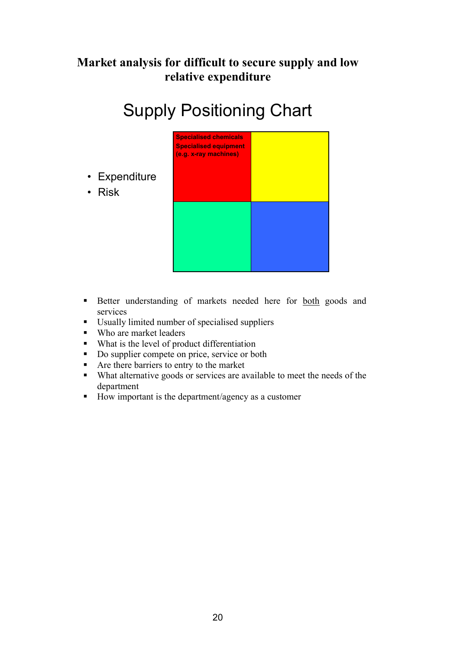### **Market analysis for difficult to secure supply and low relative expenditure**

# Supply Positioning Chart



- Better understanding of markets needed here for both goods and services
- Usually limited number of specialised suppliers
- Who are market leaders

• Risk

- What is the level of product differentiation
- Do supplier compete on price, service or both
- Are there barriers to entry to the market
- What alternative goods or services are available to meet the needs of the department
- How important is the department/agency as a customer